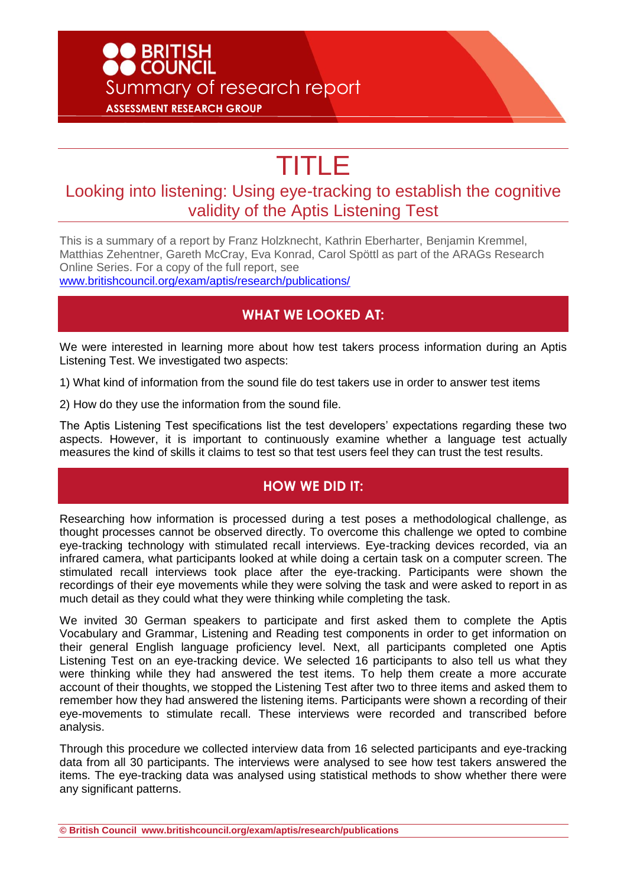# ● BRITISH<br>● COUNCIL Summary of research report **ASSESSMENT RESEARCH GROUP**

# TITLE

## Looking into listening: Using eye-tracking to establish the cognitive validity of the Aptis Listening Test

This is a summary of a report by Franz Holzknecht, Kathrin Eberharter, Benjamin Kremmel, Matthias Zehentner, Gareth McCray, Eva Konrad, Carol Spöttl as part of the ARAGs Research Online Series. For a copy of the full report, see [www.britishcouncil.org/exam/aptis/research/publications/](http://www.britishcouncil.org/exam/aptis/research/publications/)

#### **WHAT WE LOOKED AT:**

We were interested in learning more about how test takers process information during an Aptis Listening Test. We investigated two aspects:

1) What kind of information from the sound file do test takers use in order to answer test items

2) How do they use the information from the sound file.

The Aptis Listening Test specifications list the test developers' expectations regarding these two aspects. However, it is important to continuously examine whether a language test actually measures the kind of skills it claims to test so that test users feel they can trust the test results.

#### **HOW WE DID IT:**

Researching how information is processed during a test poses a methodological challenge, as thought processes cannot be observed directly. To overcome this challenge we opted to combine eye-tracking technology with stimulated recall interviews. Eye-tracking devices recorded, via an infrared camera, what participants looked at while doing a certain task on a computer screen. The stimulated recall interviews took place after the eye-tracking. Participants were shown the recordings of their eye movements while they were solving the task and were asked to report in as much detail as they could what they were thinking while completing the task.

We invited 30 German speakers to participate and first asked them to complete the Aptis Vocabulary and Grammar, Listening and Reading test components in order to get information on their general English language proficiency level. Next, all participants completed one Aptis Listening Test on an eye-tracking device. We selected 16 participants to also tell us what they were thinking while they had answered the test items. To help them create a more accurate account of their thoughts, we stopped the Listening Test after two to three items and asked them to remember how they had answered the listening items. Participants were shown a recording of their eye-movements to stimulate recall. These interviews were recorded and transcribed before analysis.

Through this procedure we collected interview data from 16 selected participants and eye-tracking data from all 30 participants. The interviews were analysed to see how test takers answered the items. The eye-tracking data was analysed using statistical methods to show whether there were any significant patterns.